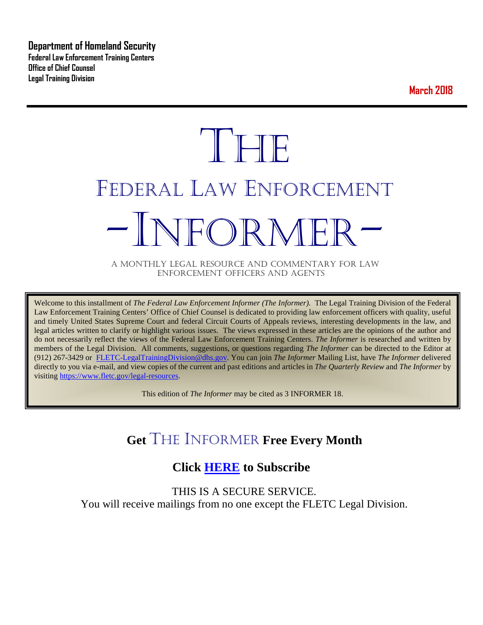**Department of Homeland Security Federal Law Enforcement Training Centers Office of Chief Counsel Legal Training Division** 

**March 2018**

# **THE** FEDERAL LAW ENFORCEMENT -INFORMER- A MONTHLY LEGAL RESOURCE AND COMMENTARY FOR LAW

ENFORCEMENT OFFICERS AND AGENTS

Welcome to this installment of *The Federal Law Enforcement Informer (The Informer).* The Legal Training Division of the Federal Law Enforcement Training Centers' Office of Chief Counsel is dedicated to providing law enforcement officers with quality, useful and timely United States Supreme Court and federal Circuit Courts of Appeals reviews, interesting developments in the law, and legal articles written to clarify or highlight various issues. The views expressed in these articles are the opinions of the author and do not necessarily reflect the views of the Federal Law Enforcement Training Centers. *The Informer* is researched and written by members of the Legal Division. All comments, suggestions, or questions regarding *The Informer* can be directed to the Editor at (912) 267-3429 or [FLETC-LegalTrainingDivision@dhs.gov.](mailto:FLETC-LegalTrainingDivision@dhs.gov) You can join *The Informer* Mailing List, have *The Informer* delivered directly to you via e-mail, and view copies of the current and past editions and articles in *The Quarterly Review* and *The Informer* by visiting [https://www.fletc.gov/legal-resources.](https://www.fletc.gov/legal-resources) 

This edition of *The Informer* may be cited as 3 INFORMER 18.

# **Get** THE INFORMER **Free Every Month**

# **Click [HERE](https://app.co-sender.com/opt-in/list/7b007eab-378b-4542-807f-44d6de94cb7e) to Subscribe**

THIS IS A SECURE SERVICE. You will receive mailings from no one except the FLETC Legal Division.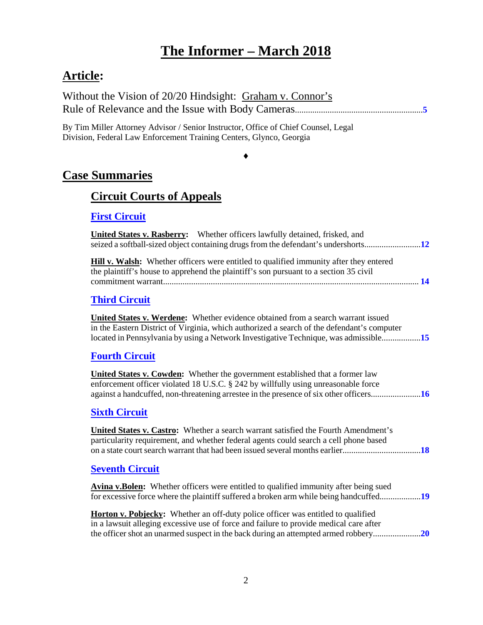# **The Informer – March 2018**

# **Article:**

| Without the Vision of 20/20 Hindsight: Graham v. Connor's |  |
|-----------------------------------------------------------|--|
|                                                           |  |

By Tim Miller Attorney Advisor / Senior Instructor, Office of Chief Counsel, Legal Division, Federal Law Enforcement Training Centers, Glynco, Georgia

#### ♦

# **Case Summaries**

# **[Circuit Courts of Appeals](#page-11-0)**

# **[First Circuit](#page-11-1)**

| <b>United States v. Rasberry:</b> Whether officers lawfully detained, frisked, and<br>seized a softball-sized object containing drugs from the defendant's undershorts12                                                                                                 |
|--------------------------------------------------------------------------------------------------------------------------------------------------------------------------------------------------------------------------------------------------------------------------|
| <b>Hill v. Walsh:</b> Whether officers were entitled to qualified immunity after they entered<br>the plaintiff's house to apprehend the plaintiff's son pursuant to a section 35 civil                                                                                   |
| <b>Third Circuit</b>                                                                                                                                                                                                                                                     |
| United States v. Werdene: Whether evidence obtained from a search warrant issued<br>in the Eastern District of Virginia, which authorized a search of the defendant's computer<br>located in Pennsylvania by using a Network Investigative Technique, was admissible15   |
| <b>Fourth Circuit</b>                                                                                                                                                                                                                                                    |
| United States v. Cowden: Whether the government established that a former law<br>enforcement officer violated 18 U.S.C. § 242 by willfully using unreasonable force<br>against a handcuffed, non-threatening arrestee in the presence of six other officers16            |
| <b>Sixth Circuit</b>                                                                                                                                                                                                                                                     |
| <b>United States v. Castro:</b> Whether a search warrant satisfied the Fourth Amendment's<br>particularity requirement, and whether federal agents could search a cell phone based                                                                                       |
| <b>Seventh Circuit</b>                                                                                                                                                                                                                                                   |
| <b>Avina v.Bolen:</b> Whether officers were entitled to qualified immunity after being sued<br>for excessive force where the plaintiff suffered a broken arm while being handcuffed19                                                                                    |
| <b>Horton v. Pobjecky:</b> Whether an off-duty police officer was entitled to qualified<br>in a lawsuit alleging excessive use of force and failure to provide medical care after<br>the officer shot an unarmed suspect in the back during an attempted armed robbery20 |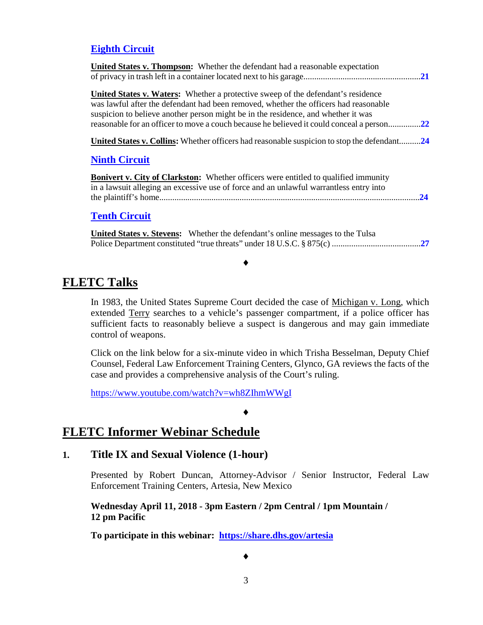### **[Eighth Circuit](#page-20-0)**

| <b>United States v. Thompson:</b> Whether the defendant had a reasonable expectation                                                                                                                                                                                                                                                                              |
|-------------------------------------------------------------------------------------------------------------------------------------------------------------------------------------------------------------------------------------------------------------------------------------------------------------------------------------------------------------------|
| <b>United States v. Waters:</b> Whether a protective sweep of the defendant's residence<br>was lawful after the defendant had been removed, whether the officers had reasonable<br>suspicion to believe another person might be in the residence, and whether it was<br>reasonable for an officer to move a couch because he believed it could conceal a person22 |
| United States v. Collins: Whether officers had reasonable suspicion to stop the defendant24                                                                                                                                                                                                                                                                       |
| <b>Ninth Circuit</b>                                                                                                                                                                                                                                                                                                                                              |
| <b>Bonivert v. City of Clarkston:</b> Whether officers were entitled to qualified immunity<br>in a lawsuit alleging an excessive use of force and an unlawful warrantless entry into<br>24                                                                                                                                                                        |
| <b>Tenth Circuit</b>                                                                                                                                                                                                                                                                                                                                              |
| Huited Ctotes - Ctoresser, Whether the defendent's suling measure to the Tules.                                                                                                                                                                                                                                                                                   |

**United States v. Stevens:** Whether the defendant's online messages to the Tulsa Police Department constituted "true threats" under 18 U.S.C. § 875(c) .........................................**[27](#page-26-1)**

♦

### **FLETC Talks**

In 1983, the United States Supreme Court decided the case of <u>Michigan v. Long</u>, which extended Terry searches to a vehicle's passenger compartment, if a police officer has sufficient facts to reasonably believe a suspect is dangerous and may gain immediate control of weapons.

Click on the link below for a six-minute video in which Trisha Besselman, Deputy Chief Counsel, Federal Law Enforcement Training Centers, Glynco, GA reviews the facts of the case and provides a comprehensive analysis of the Court's ruling.

♦

<https://www.youtube.com/watch?v=wh8ZIhmWWgI>

## **FLETC Informer Webinar Schedule**

### **1. Title IX and Sexual Violence (1-hour)**

Presented by Robert Duncan, Attorney-Advisor / Senior Instructor, Federal Law Enforcement Training Centers, Artesia, New Mexico

### **Wednesday April 11, 2018 - 3pm Eastern / 2pm Central / 1pm Mountain / 12 pm Pacific**

**To participate in this webinar: <https://share.dhs.gov/artesia>**

♦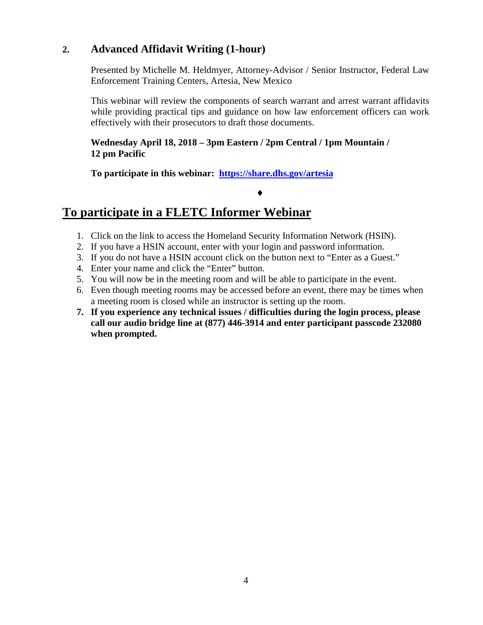### **2. Advanced Affidavit Writing (1-hour)**

Presented by Michelle M. Heldmyer, Attorney-Advisor / Senior Instructor, Federal Law Enforcement Training Centers, Artesia, New Mexico

This webinar will review the components of search warrant and arrest warrant affidavits while providing practical tips and guidance on how law enforcement officers can work effectively with their prosecutors to draft those documents.

♦

### **Wednesday April 18, 2018 – 3pm Eastern / 2pm Central / 1pm Mountain / 12 pm Pacific**

**To participate in this webinar: <https://share.dhs.gov/artesia>**

# **To participate in a FLETC Informer Webinar**

- 1. Click on the link to access the Homeland Security Information Network (HSIN).
- 2. If you have a HSIN account, enter with your login and password information.
- 3. If you do not have a HSIN account click on the button next to "Enter as a Guest."
- 4. Enter your name and click the "Enter" button.
- 5. You will now be in the meeting room and will be able to participate in the event.
- 6. Even though meeting rooms may be accessed before an event, there may be times when a meeting room is closed while an instructor is setting up the room.
- **7. If you experience any technical issues / difficulties during the login process, please call our audio bridge line at (877) 446-3914 and enter participant passcode 232080 when prompted.**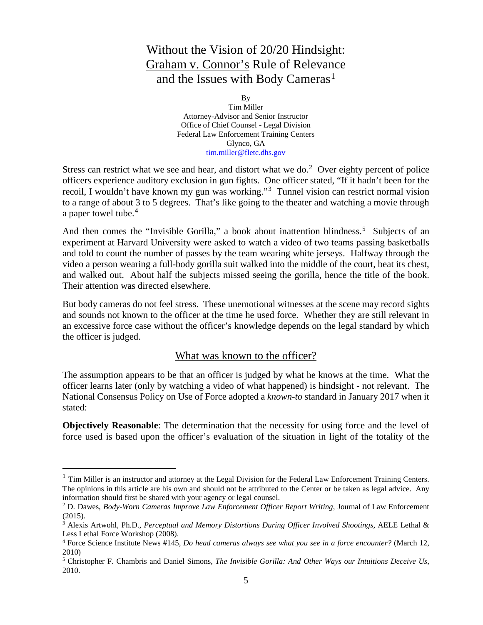# <span id="page-4-0"></span>Without the Vision of 20/20 Hindsight: Graham v. Connor's Rule of Relevance and the Issues with Body Cameras<sup>[1](#page-4-1)</sup>

By

Tim Miller Attorney-Advisor and Senior Instructor Office of Chief Counsel - Legal Division Federal Law Enforcement Training Centers Glynco, GA [tim.miller@fletc.dhs.gov](mailto:tim.miller@fletc.dhs.gov) 

Stress can restrict what we see and hear, and distort what we do. $2$  Over eighty percent of police officers experience auditory exclusion in gun fights. One officer stated, "If it hadn't been for the recoil, I wouldn't have known my gun was working."<sup>[3](#page-4-3)</sup> Tunnel vision can restrict normal vision to a range of about 3 to 5 degrees. That's like going to the theater and watching a movie through a paper towel tube.<sup>[4](#page-4-4)</sup>

And then comes the "Invisible Gorilla," a book about inattention blindness.<sup>[5](#page-4-5)</sup> Subjects of an experiment at Harvard University were asked to watch a video of two teams passing basketballs and told to count the number of passes by the team wearing white jerseys. Halfway through the video a person wearing a full-body gorilla suit walked into the middle of the court, beat its chest, and walked out. About half the subjects missed seeing the gorilla, hence the title of the book. Their attention was directed elsewhere.

But body cameras do not feel stress. These unemotional witnesses at the scene may record sights and sounds not known to the officer at the time he used force. Whether they are still relevant in an excessive force case without the officer's knowledge depends on the legal standard by which the officer is judged.

### What was known to the officer?

The assumption appears to be that an officer is judged by what he knows at the time. What the officer learns later (only by watching a video of what happened) is hindsight - not relevant. The National Consensus Policy on Use of Force adopted a *known-to* standard in January 2017 when it stated:

**Objectively Reasonable**: The determination that the necessity for using force and the level of force used is based upon the officer's evaluation of the situation in light of the totality of the

<span id="page-4-1"></span> $1$  Tim Miller is an instructor and attorney at the Legal Division for the Federal Law Enforcement Training Centers. The opinions in this article are his own and should not be attributed to the Center or be taken as legal advice. Any information should first be shared with your agency or legal counsel. 2 D. Dawes, *Body-Worn Cameras Improve Law Enforcement Officer Report Writing*, Journal of Law Enforcement

<span id="page-4-2"></span><sup>(2015).</sup>

<span id="page-4-3"></span><sup>3</sup> Alexis Artwohl, Ph.D., *Perceptual and Memory Distortions During Officer Involved Shootings*, AELE Lethal & Less Lethal Force Workshop (2008).<br><sup>4</sup> Force Science Institute News #145, *Do head cameras always see what you see in a force encounter?* (March 12,

<span id="page-4-4"></span><sup>2010)</sup>

<span id="page-4-5"></span><sup>5</sup> Christopher F. Chambris and Daniel Simons, *The Invisible Gorilla: And Other Ways our Intuitions Deceive Us*, 2010.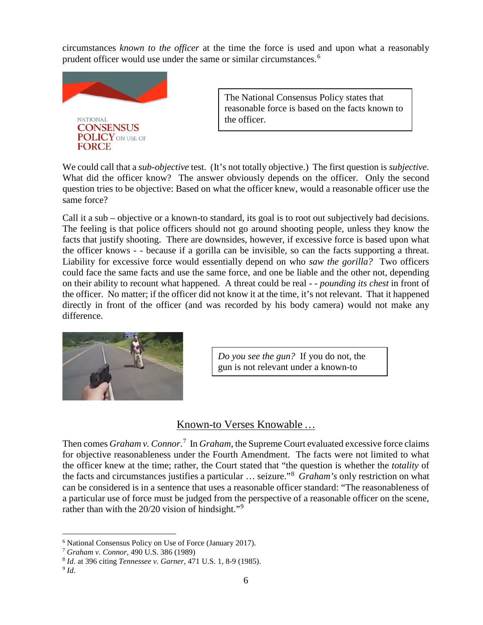circumstances *known to the officer* at the time the force is used and upon what a reasonably prudent officer would use under the same or similar circumstances.[6](#page-5-0)



The National Consensus Policy states that reasonable force is based on the facts known to the officer.

We could call that a *sub-objective* test. (It's not totally objective.) The first question is *subjective*. What did the officer know? The answer obviously depends on the officer. Only the second question tries to be objective: Based on what the officer knew, would a reasonable officer use the same force?

Call it a sub – objective or a known-to standard, its goal is to root out subjectively bad decisions. The feeling is that police officers should not go around shooting people, unless they know the facts that justify shooting. There are downsides, however, if excessive force is based upon what the officer knows - - because if a gorilla can be invisible, so can the facts supporting a threat. Liability for excessive force would essentially depend on who *saw the gorilla?* Two officers could face the same facts and use the same force, and one be liable and the other not, depending on their ability to recount what happened. A threat could be real - - *pounding its chest* in front of the officer. No matter; if the officer did not know it at the time, it's not relevant. That it happened directly in front of the officer (and was recorded by his body camera) would not make any difference.



*Do you see the gun?* If you do not, the gun is not relevant under a known-to

### Known-to Verses Knowable *…*

I

Then comes *Graham v. Connor.*<sup>[7](#page-5-1)</sup> In *Graham*, the Supreme Court evaluated excessive force claims for objective reasonableness under the Fourth Amendment. The facts were not limited to what the officer knew at the time; rather, the Court stated that "the question is whether the *totality* of the facts and circumstances justifies a particular … seizure."[8](#page-5-2) *Graham's* only restriction on what can be considered is in a sentence that uses a reasonable officer standard: "The reasonableness of a particular use of force must be judged from the perspective of a reasonable officer on the scene, rather than with the 20/20 vision of hindsight."<sup>[9](#page-5-3)</sup>

<span id="page-5-0"></span> <sup>6</sup> National Consensus Policy on Use of Force (January 2017).

<span id="page-5-1"></span><sup>7</sup> *Graham v. Connor*, 490 U.S. 386 (1989)

<sup>8</sup> *Id*. at 396 citing *Tennessee v. Garner*, 471 U.S. 1, 8-9 (1985).

<span id="page-5-3"></span><span id="page-5-2"></span><sup>9</sup> *Id*.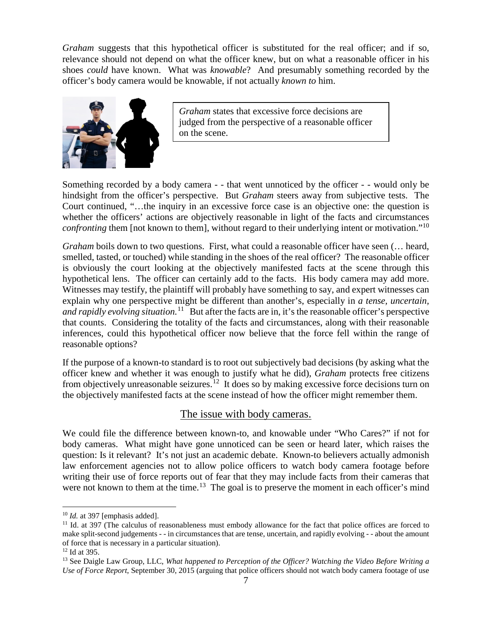*Graham* suggests that this hypothetical officer is substituted for the real officer; and if so, relevance should not depend on what the officer knew, but on what a reasonable officer in his shoes *could* have known. What was *knowable*? And presumably something recorded by the officer's body camera would be knowable, if not actually *known to* him.



*Graham* states that excessive force decisions are judged from the perspective of a reasonable officer on the scene.

Something recorded by a body camera - - that went unnoticed by the officer - - would only be hindsight from the officer's perspective. But *Graham* steers away from subjective tests. The Court continued, "…the inquiry in an excessive force case is an objective one: the question is whether the officers' actions are objectively reasonable in light of the facts and circumstances *confronting* them [not known to them], without regard to their underlying intent or motivation."<sup>[10](#page-6-0)</sup>

*Graham* boils down to two questions. First, what could a reasonable officer have seen (... heard, smelled, tasted, or touched) while standing in the shoes of the real officer? The reasonable officer is obviously the court looking at the objectively manifested facts at the scene through this hypothetical lens. The officer can certainly add to the facts. His body camera may add more. Witnesses may testify, the plaintiff will probably have something to say, and expert witnesses can explain why one perspective might be different than another's, especially in *a tense, uncertain, and rapidly evolving situation.*<sup>[11](#page-6-1)</sup> But after the facts are in, it's the reasonable officer's perspective that counts. Considering the totality of the facts and circumstances, along with their reasonable inferences, could this hypothetical officer now believe that the force fell within the range of reasonable options?

If the purpose of a known-to standard is to root out subjectively bad decisions (by asking what the officer knew and whether it was enough to justify what he did), *Graham* protects free citizens from objectively unreasonable seizures.<sup>[12](#page-6-2)</sup> It does so by making excessive force decisions turn on the objectively manifested facts at the scene instead of how the officer might remember them.

### The issue with body cameras.

We could file the difference between known-to, and knowable under "Who Cares?" if not for body cameras. What might have gone unnoticed can be seen or heard later, which raises the question: Is it relevant? It's not just an academic debate. Known-to believers actually admonish law enforcement agencies not to allow police officers to watch body camera footage before writing their use of force reports out of fear that they may include facts from their cameras that were not known to them at the time.<sup>[13](#page-6-3)</sup> The goal is to preserve the moment in each officer's mind

<span id="page-6-1"></span><span id="page-6-0"></span><sup>&</sup>lt;sup>10</sup> *Id.* at 397 [emphasis added].<br><sup>11</sup> Id. at 397 (The calculus of reasonableness must embody allowance for the fact that police offices are forced to make split-second judgements - - in circumstances that are tense, uncertain, and rapidly evolving - - about the amount of force that is necessary in a particular situation).

<span id="page-6-2"></span><sup>&</sup>lt;sup>12</sup> Id at 395.

<span id="page-6-3"></span><sup>13</sup> See Daigle Law Group, LLC, *What happened to Perception of the Officer? Watching the Video Before Writing a Use of Force Report*, September 30, 2015 (arguing that police officers should not watch body camera footage of use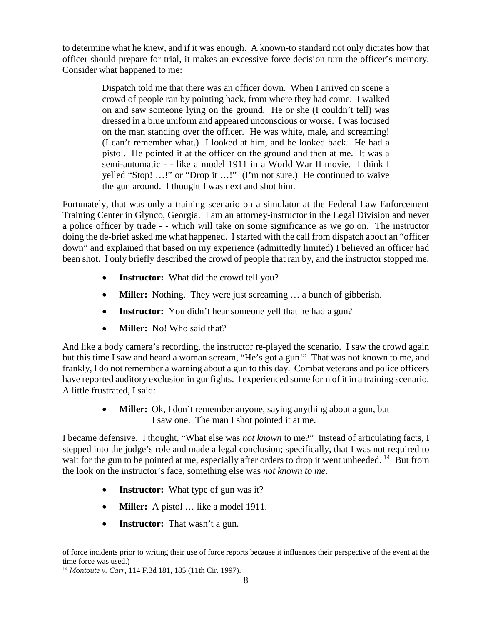to determine what he knew, and if it was enough. A known-to standard not only dictates how that officer should prepare for trial, it makes an excessive force decision turn the officer's memory. Consider what happened to me:

> Dispatch told me that there was an officer down. When I arrived on scene a crowd of people ran by pointing back, from where they had come. I walked on and saw someone lying on the ground. He or she (I couldn't tell) was dressed in a blue uniform and appeared unconscious or worse. I was focused on the man standing over the officer. He was white, male, and screaming! (I can't remember what.) I looked at him, and he looked back.He had a pistol. He pointed it at the officer on the ground and then at me. It was a semi-automatic - - like a model 1911 in a World War II movie. I think I yelled "Stop! …!" or "Drop it …!" (I'm not sure.) He continued to waive the gun around. I thought I was next and shot him.

Fortunately, that was only a training scenario on a simulator at the Federal Law Enforcement Training Center in Glynco, Georgia. I am an attorney-instructor in the Legal Division and never a police officer by trade - - which will take on some significance as we go on. The instructor doing the de-brief asked me what happened. I started with the call from dispatch about an "officer down" and explained that based on my experience (admittedly limited) I believed an officer had been shot. I only briefly described the crowd of people that ran by, and the instructor stopped me.

- **Instructor:** What did the crowd tell you?
- **Miller:** Nothing. They were just screaming ... a bunch of gibberish.
- **Instructor:** You didn't hear someone yell that he had a gun?
- **Miller:** No! Who said that?

And like a body camera's recording, the instructor re-played the scenario. I saw the crowd again but this time I saw and heard a woman scream, "He's got a gun!" That was not known to me, and frankly, I do not remember a warning about a gun to this day. Combat veterans and police officers have reported auditory exclusion in gunfights. I experienced some form of it in a training scenario. A little frustrated, I said:

> **Miller:** Ok, I don't remember anyone, saying anything about a gun, but I saw one. The man I shot pointed it at me.

I became defensive. I thought, "What else was *not known* to me?" Instead of articulating facts, I stepped into the judge's role and made a legal conclusion; specifically, that I was not required to wait for the gun to be pointed at me, especially after orders to drop it went unheeded. <sup>[14](#page-7-0)</sup> But from the look on the instructor's face, something else was *not known to me*.

- **Instructor:** What type of gun was it?
- **Miller:** A pistol ... like a model 1911.
- **Instructor:** That wasn't a gun.

of force incidents prior to writing their use of force reports because it influences their perspective of the event at the time force was used.)

<span id="page-7-0"></span><sup>14</sup> *Montoute v. Carr*, 114 F.3d 181, 185 (11th Cir. 1997).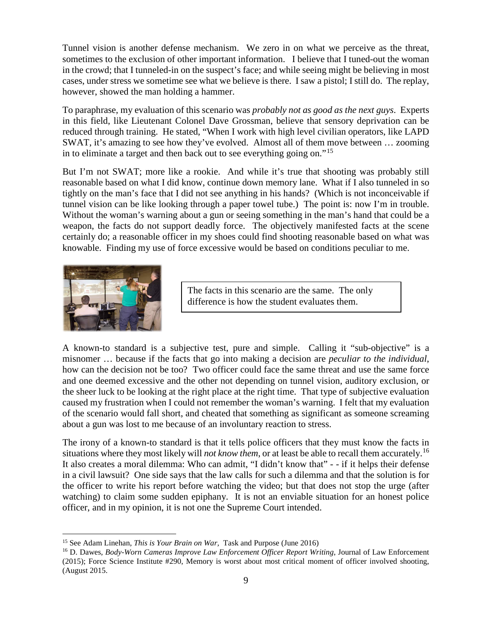Tunnel vision is another defense mechanism. We zero in on what we perceive as the threat, sometimes to the exclusion of other important information. I believe that I tuned-out the woman in the crowd; that I tunneled-in on the suspect's face; and while seeing might be believing in most cases, under stress we sometime see what we believe is there. I saw a pistol; I still do. The replay, however, showed the man holding a hammer.

To paraphrase, my evaluation of this scenario was *probably not as good as the next guys*. Experts in this field, like Lieutenant Colonel Dave Grossman, believe that sensory deprivation can be reduced through training. He stated, "When I work with high level civilian operators, like LAPD SWAT, it's amazing to see how they've evolved. Almost all of them move between … zooming in to eliminate a target and then back out to see everything going on."[15](#page-8-0) 

But I'm not SWAT; more like a rookie. And while it's true that shooting was probably still reasonable based on what I did know, continue down memory lane. What if I also tunneled in so tightly on the man's face that I did not see anything in his hands? (Which is not inconceivable if tunnel vision can be like looking through a paper towel tube.) The point is: now I'm in trouble. Without the woman's warning about a gun or seeing something in the man's hand that could be a weapon, the facts do not support deadly force. The objectively manifested facts at the scene certainly do; a reasonable officer in my shoes could find shooting reasonable based on what was knowable. Finding my use of force excessive would be based on conditions peculiar to me.



The facts in this scenario are the same. The only difference is how the student evaluates them.

A known-to standard is a subjective test, pure and simple. Calling it "sub-objective" is a misnomer … because if the facts that go into making a decision are *peculiar to the individual*, how can the decision not be too? Two officer could face the same threat and use the same force and one deemed excessive and the other not depending on tunnel vision, auditory exclusion, or the sheer luck to be looking at the right place at the right time. That type of subjective evaluation caused my frustration when I could not remember the woman's warning. I felt that my evaluation of the scenario would fall short, and cheated that something as significant as someone screaming about a gun was lost to me because of an involuntary reaction to stress.

The irony of a known-to standard is that it tells police officers that they must know the facts in situations where they most likely will *not know them*, or at least be able to recall them accurately.[16](#page-8-1) It also creates a moral dilemma: Who can admit, "I didn't know that" - - if it helps their defense in a civil lawsuit? One side says that the law calls for such a dilemma and that the solution is for the officer to write his report before watching the video; but that does not stop the urge (after watching) to claim some sudden epiphany. It is not an enviable situation for an honest police officer, and in my opinion, it is not one the Supreme Court intended.

<span id="page-8-0"></span> <sup>15</sup> See Adam Linehan, *This is Your Brain on War,* Task and Purpose (June 2016)

<span id="page-8-1"></span><sup>16</sup> D. Dawes, *Body-Worn Cameras Improve Law Enforcement Officer Report Writing*, Journal of Law Enforcement (2015); Force Science Institute #290, Memory is worst about most critical moment of officer involved shooting, (August 2015.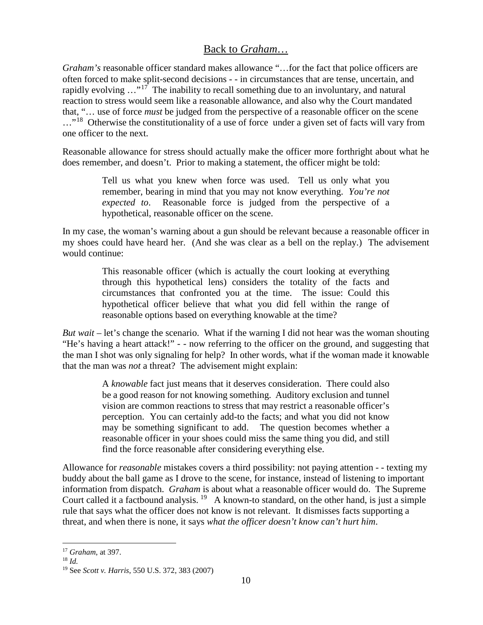### Back to *Graham*…

*Graham's* reasonable officer standard makes allowance "...for the fact that police officers are often forced to make split-second decisions - - in circumstances that are tense, uncertain, and rapidly evolving  $\cdots$ <sup>[17](#page-9-0)</sup>. The inability to recall something due to an involuntary, and natural reaction to stress would seem like a reasonable allowance, and also why the Court mandated that, "… use of force *must* be judged from the perspective of a reasonable officer on the scene ..."<sup>[18](#page-9-1)</sup> Otherwise the constitutionality of a use of force under a given set of facts will vary from one officer to the next.

Reasonable allowance for stress should actually make the officer more forthright about what he does remember, and doesn't. Prior to making a statement, the officer might be told:

> Tell us what you knew when force was used. Tell us only what you remember, bearing in mind that you may not know everything. *You're not expected to*. Reasonable force is judged from the perspective of a hypothetical, reasonable officer on the scene.

In my case, the woman's warning about a gun should be relevant because a reasonable officer in my shoes could have heard her. (And she was clear as a bell on the replay.) The advisement would continue:

> This reasonable officer (which is actually the court looking at everything through this hypothetical lens) considers the totality of the facts and circumstances that confronted you at the time. The issue: Could this hypothetical officer believe that what you did fell within the range of reasonable options based on everything knowable at the time?

*But wait* – let's change the scenario. What if the warning I did not hear was the woman shouting "He's having a heart attack!" - - now referring to the officer on the ground, and suggesting that the man I shot was only signaling for help? In other words, what if the woman made it knowable that the man was *not* a threat? The advisement might explain:

> A *knowable* fact just means that it deserves consideration. There could also be a good reason for not knowing something. Auditory exclusion and tunnel vision are common reactions to stress that may restrict a reasonable officer's perception. You can certainly add-to the facts; and what you did not know may be something significant to add. The question becomes whether a reasonable officer in your shoes could miss the same thing you did, and still find the force reasonable after considering everything else.

Allowance for *reasonable* mistakes covers a third possibility: not paying attention - - texting my buddy about the ball game as I drove to the scene, for instance, instead of listening to important information from dispatch. *Graham* is about what a reasonable officer would do. The Supreme Court called it a factbound analysis.  $19$  A known-to standard, on the other hand, is just a simple rule that says what the officer does not know is not relevant. It dismisses facts supporting a threat, and when there is none, it says *what the officer doesn't know can't hurt him*.

<span id="page-9-0"></span><sup>17</sup> *Graham*, at 397. 18 *Id.*

<span id="page-9-1"></span>

<span id="page-9-2"></span><sup>19</sup> See *Scott v. Harris*, 550 U.S. 372, 383 (2007)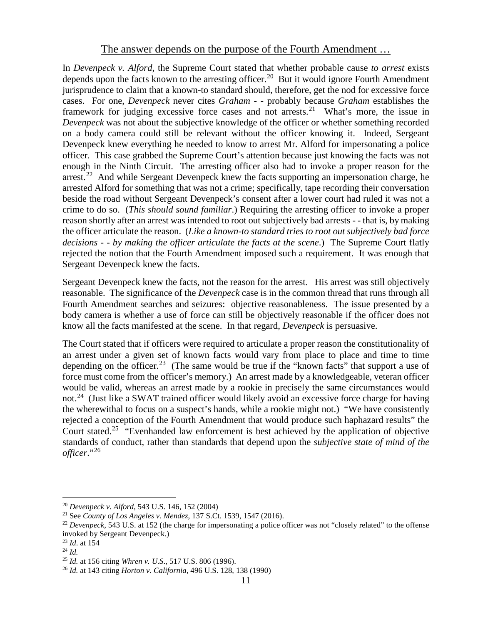### The answer depends on the purpose of the Fourth Amendment …

In *Devenpeck v. Alford*, the Supreme Court stated that whether probable cause *to arrest* exists depends upon the facts known to the arresting officer.<sup>20</sup> But it would ignore Fourth Amendment jurisprudence to claim that a known-to standard should, therefore, get the nod for excessive force cases. For one, *Devenpeck* never cites *Graham* - - probably because *Graham* establishes the framework for judging excessive force cases and not arrests.<sup>21</sup> What's more, the issue in *Devenpeck* was not about the subjective knowledge of the officer or whether something recorded on a body camera could still be relevant without the officer knowing it. Indeed, Sergeant Devenpeck knew everything he needed to know to arrest Mr. Alford for impersonating a police officer. This case grabbed the Supreme Court's attention because just knowing the facts was not enough in the Ninth Circuit. The arresting officer also had to invoke a proper reason for the arrest.<sup>[22](#page-10-2)</sup> And while Sergeant Devenpeck knew the facts supporting an impersonation charge, he arrested Alford for something that was not a crime; specifically, tape recording their conversation beside the road without Sergeant Devenpeck's consent after a lower court had ruled it was not a crime to do so. (*This should sound familiar*.) Requiring the arresting officer to invoke a proper reason shortly after an arrest was intended to root out subjectively bad arrests - - that is, by making the officer articulate the reason. (*Like a known-to standard tries to root out subjectively bad force decisions - - by making the officer articulate the facts at the scene*.) The Supreme Court flatly rejected the notion that the Fourth Amendment imposed such a requirement. It was enough that Sergeant Devenpeck knew the facts.

Sergeant Devenpeck knew the facts, not the reason for the arrest. His arrest was still objectively reasonable. The significance of the *Devenpeck* case is in the common thread that runs through all Fourth Amendment searches and seizures: objective reasonableness. The issue presented by a body camera is whether a use of force can still be objectively reasonable if the officer does not know all the facts manifested at the scene. In that regard, *Devenpeck* is persuasive.

The Court stated that if officers were required to articulate a proper reason the constitutionality of an arrest under a given set of known facts would vary from place to place and time to time depending on the officer.<sup>[23](#page-10-3)</sup> (The same would be true if the "known facts" that support a use of force must come from the officer's memory.) An arrest made by a knowledgeable, veteran officer would be valid, whereas an arrest made by a rookie in precisely the same circumstances would not.<sup>[24](#page-10-4)</sup> (Just like a SWAT trained officer would likely avoid an excessive force charge for having the wherewithal to focus on a suspect's hands, while a rookie might not.) "We have consistently rejected a conception of the Fourth Amendment that would produce such haphazard results" the Court stated.<sup>[25](#page-10-5)</sup> "Evenhanded law enforcement is best achieved by the application of objective standards of conduct, rather than standards that depend upon the *subjective state of mind of the officer*."[26](#page-10-6) 

<span id="page-10-1"></span><span id="page-10-0"></span><sup>&</sup>lt;sup>20</sup> *Devenpeck v. Alford*, 543 U.S. 146, 152 (2004)<br><sup>21</sup> See *County of Los Angeles v. Mendez*, 137 S.Ct. 1539, 1547 (2016).

<span id="page-10-2"></span><sup>&</sup>lt;sup>22</sup> Devenpeck, 543 U.S. at 152 (the charge for impersonating a police officer was not "closely related" to the offense invoked by Sergeant Devenpeck.)

<span id="page-10-3"></span><sup>23</sup> *Id*. at 154

<span id="page-10-4"></span><sup>24</sup> *Id.*

<span id="page-10-5"></span><sup>25</sup> *Id.* at 156 citing *Whren v. U.S*., 517 U.S. 806 (1996).

<span id="page-10-6"></span><sup>26</sup> *Id.* at 143 citing *Horton v. California*, 496 U.S. 128, 138 (1990)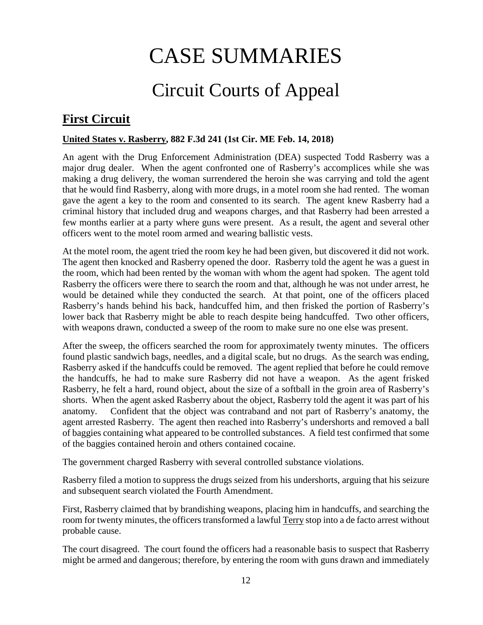# CASE SUMMARIES

# Circuit Courts of Appeal

# <span id="page-11-1"></span><span id="page-11-0"></span>**First Circuit**

### <span id="page-11-2"></span>**United States v. Rasberry, 882 F.3d 241 (1st Cir. ME Feb. 14, 2018)**

An agent with the Drug Enforcement Administration (DEA) suspected Todd Rasberry was a major drug dealer. When the agent confronted one of Rasberry's accomplices while she was making a drug delivery, the woman surrendered the heroin she was carrying and told the agent that he would find Rasberry, along with more drugs, in a motel room she had rented. The woman gave the agent a key to the room and consented to its search. The agent knew Rasberry had a criminal history that included drug and weapons charges, and that Rasberry had been arrested a few months earlier at a party where guns were present. As a result, the agent and several other officers went to the motel room armed and wearing ballistic vests.

At the motel room, the agent tried the room key he had been given, but discovered it did not work. The agent then knocked and Rasberry opened the door. Rasberry told the agent he was a guest in the room, which had been rented by the woman with whom the agent had spoken. The agent told Rasberry the officers were there to search the room and that, although he was not under arrest, he would be detained while they conducted the search. At that point, one of the officers placed Rasberry's hands behind his back, handcuffed him, and then frisked the portion of Rasberry's lower back that Rasberry might be able to reach despite being handcuffed. Two other officers, with weapons drawn, conducted a sweep of the room to make sure no one else was present.

After the sweep, the officers searched the room for approximately twenty minutes. The officers found plastic sandwich bags, needles, and a digital scale, but no drugs. As the search was ending, Rasberry asked if the handcuffs could be removed. The agent replied that before he could remove the handcuffs, he had to make sure Rasberry did not have a weapon. As the agent frisked Rasberry, he felt a hard, round object, about the size of a softball in the groin area of Rasberry's shorts. When the agent asked Rasberry about the object, Rasberry told the agent it was part of his anatomy. Confident that the object was contraband and not part of Rasberry's anatomy, the agent arrested Rasberry. The agent then reached into Rasberry's undershorts and removed a ball of baggies containing what appeared to be controlled substances. A field test confirmed that some of the baggies contained heroin and others contained cocaine.

The government charged Rasberry with several controlled substance violations.

Rasberry filed a motion to suppress the drugs seized from his undershorts, arguing that his seizure and subsequent search violated the Fourth Amendment.

First, Rasberry claimed that by brandishing weapons, placing him in handcuffs, and searching the room for twenty minutes, the officers transformed a lawful Terry stop into a de facto arrest without probable cause.

The court disagreed. The court found the officers had a reasonable basis to suspect that Rasberry might be armed and dangerous; therefore, by entering the room with guns drawn and immediately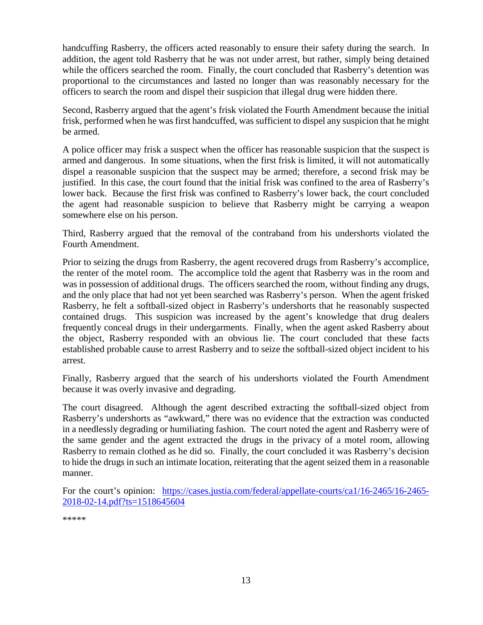handcuffing Rasberry, the officers acted reasonably to ensure their safety during the search. In addition, the agent told Rasberry that he was not under arrest, but rather, simply being detained while the officers searched the room. Finally, the court concluded that Rasberry's detention was proportional to the circumstances and lasted no longer than was reasonably necessary for the officers to search the room and dispel their suspicion that illegal drug were hidden there.

Second, Rasberry argued that the agent's frisk violated the Fourth Amendment because the initial frisk, performed when he was first handcuffed, was sufficient to dispel any suspicion that he might be armed.

A police officer may frisk a suspect when the officer has reasonable suspicion that the suspect is armed and dangerous. In some situations, when the first frisk is limited, it will not automatically dispel a reasonable suspicion that the suspect may be armed; therefore, a second frisk may be justified. In this case, the court found that the initial frisk was confined to the area of Rasberry's lower back. Because the first frisk was confined to Rasberry's lower back, the court concluded the agent had reasonable suspicion to believe that Rasberry might be carrying a weapon somewhere else on his person.

Third, Rasberry argued that the removal of the contraband from his undershorts violated the Fourth Amendment.

Prior to seizing the drugs from Rasberry, the agent recovered drugs from Rasberry's accomplice, the renter of the motel room. The accomplice told the agent that Rasberry was in the room and was in possession of additional drugs. The officers searched the room, without finding any drugs, and the only place that had not yet been searched was Rasberry's person. When the agent frisked Rasberry, he felt a softball-sized object in Rasberry's undershorts that he reasonably suspected contained drugs. This suspicion was increased by the agent's knowledge that drug dealers frequently conceal drugs in their undergarments. Finally, when the agent asked Rasberry about the object, Rasberry responded with an obvious lie. The court concluded that these facts established probable cause to arrest Rasberry and to seize the softball-sized object incident to his arrest.

Finally, Rasberry argued that the search of his undershorts violated the Fourth Amendment because it was overly invasive and degrading.

The court disagreed. Although the agent described extracting the softball-sized object from Rasberry's undershorts as "awkward," there was no evidence that the extraction was conducted in a needlessly degrading or humiliating fashion. The court noted the agent and Rasberry were of the same gender and the agent extracted the drugs in the privacy of a motel room, allowing Rasberry to remain clothed as he did so. Finally, the court concluded it was Rasberry's decision to hide the drugs in such an intimate location, reiterating that the agent seized them in a reasonable manner.

For the court's opinion: [https://cases.justia.com/federal/appellate-courts/ca1/16-2465/16-2465-](https://cases.justia.com/federal/appellate-courts/ca1/16-2465/16-2465-2018-02-14.pdf?ts=1518645604) [2018-02-14.pdf?ts=1518645604](https://cases.justia.com/federal/appellate-courts/ca1/16-2465/16-2465-2018-02-14.pdf?ts=1518645604)

\*\*\*\*\*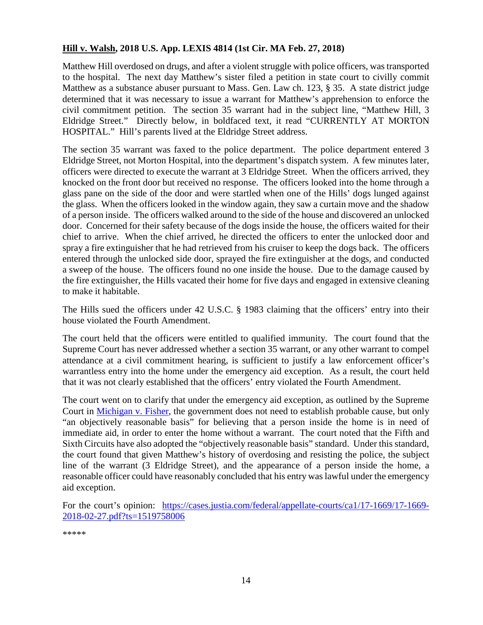### <span id="page-13-0"></span>**Hill v. Walsh, 2018 U.S. App. LEXIS 4814 (1st Cir. MA Feb. 27, 2018)**

Matthew Hill overdosed on drugs, and after a violent struggle with police officers, was transported to the hospital. The next day Matthew's sister filed a petition in state court to civilly commit Matthew as a substance abuser pursuant to Mass. Gen. Law ch. 123, § 35. A state district judge determined that it was necessary to issue a warrant for Matthew's apprehension to enforce the civil commitment petition. The section 35 warrant had in the subject line, "Matthew Hill, 3 Eldridge Street." Directly below, in boldfaced text, it read "CURRENTLY AT MORTON HOSPITAL." Hill's parents lived at the Eldridge Street address.

The section 35 warrant was faxed to the police department. The police department entered 3 Eldridge Street, not Morton Hospital, into the department's dispatch system. A few minutes later, officers were directed to execute the warrant at 3 Eldridge Street. When the officers arrived, they knocked on the front door but received no response. The officers looked into the home through a glass pane on the side of the door and were startled when one of the Hills' dogs lunged against the glass. When the officers looked in the window again, they saw a curtain move and the shadow of a person inside. The officers walked around to the side of the house and discovered an unlocked door. Concerned for their safety because of the dogs inside the house, the officers waited for their chief to arrive. When the chief arrived, he directed the officers to enter the unlocked door and spray a fire extinguisher that he had retrieved from his cruiser to keep the dogs back. The officers entered through the unlocked side door, sprayed the fire extinguisher at the dogs, and conducted a sweep of the house. The officers found no one inside the house. Due to the damage caused by the fire extinguisher, the Hills vacated their home for five days and engaged in extensive cleaning to make it habitable.

The Hills sued the officers under 42 U.S.C. § 1983 claiming that the officers' entry into their house violated the Fourth Amendment.

The court held that the officers were entitled to qualified immunity. The court found that the Supreme Court has never addressed whether a section 35 warrant, or any other warrant to compel attendance at a civil commitment hearing, is sufficient to justify a law enforcement officer's warrantless entry into the home under the emergency aid exception. As a result, the court held that it was not clearly established that the officers' entry violated the Fourth Amendment.

The court went on to clarify that under the emergency aid exception, as outlined by the Supreme Court in [Michigan v. Fisher,](https://supreme.justia.com/cases/federal/us/558/09-91/percuriam.pdf) the government does not need to establish probable cause, but only "an objectively reasonable basis" for believing that a person inside the home is in need of immediate aid, in order to enter the home without a warrant. The court noted that the Fifth and Sixth Circuits have also adopted the "objectively reasonable basis" standard. Under this standard, the court found that given Matthew's history of overdosing and resisting the police, the subject line of the warrant (3 Eldridge Street), and the appearance of a person inside the home, a reasonable officer could have reasonably concluded that his entry was lawful under the emergency aid exception.

For the court's opinion: [https://cases.justia.com/federal/appellate-courts/ca1/17-1669/17-1669-](https://cases.justia.com/federal/appellate-courts/ca1/17-1669/17-1669-2018-02-27.pdf?ts=1519758006) [2018-02-27.pdf?ts=1519758006](https://cases.justia.com/federal/appellate-courts/ca1/17-1669/17-1669-2018-02-27.pdf?ts=1519758006)

\*\*\*\*\*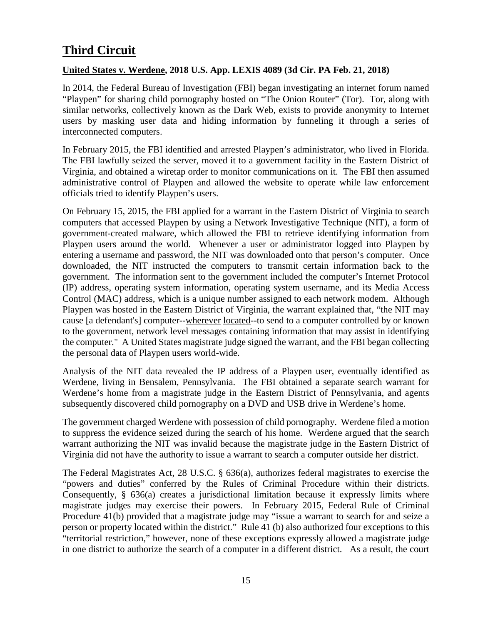# <span id="page-14-0"></span>**Third Circuit**

### <span id="page-14-1"></span>**United States v. Werdene, 2018 U.S. App. LEXIS 4089 (3d Cir. PA Feb. 21, 2018)**

In 2014, the Federal Bureau of Investigation (FBI) began investigating an internet forum named "Playpen" for sharing child pornography hosted on "The Onion Router" (Tor). Tor, along with similar networks, collectively known as the Dark Web, exists to provide anonymity to Internet users by masking user data and hiding information by funneling it through a series of interconnected computers.

In February 2015, the FBI identified and arrested Playpen's administrator, who lived in Florida. The FBI lawfully seized the server, moved it to a government facility in the Eastern District of Virginia, and obtained a wiretap order to monitor communications on it. The FBI then assumed administrative control of Playpen and allowed the website to operate while law enforcement officials tried to identify Playpen's users.

On February 15, 2015, the FBI applied for a warrant in the Eastern District of Virginia to search computers that accessed Playpen by using a Network Investigative Technique (NIT), a form of government-created malware, which allowed the FBI to retrieve identifying information from Playpen users around the world. Whenever a user or administrator logged into Playpen by entering a username and password, the NIT was downloaded onto that person's computer. Once downloaded, the NIT instructed the computers to transmit certain information back to the government. The information sent to the government included the computer's Internet Protocol (IP) address, operating system information, operating system username, and its Media Access Control (MAC) address, which is a unique number assigned to each network modem. Although Playpen was hosted in the Eastern District of Virginia, the warrant explained that, "the NIT may cause [a defendant's] computer--wherever located--to send to a computer controlled by or known to the government, network level messages containing information that may assist in identifying the computer." A United States magistrate judge signed the warrant, and the FBI began collecting the personal data of Playpen users world-wide.

Analysis of the NIT data revealed the IP address of a Playpen user, eventually identified as Werdene, living in Bensalem, Pennsylvania. The FBI obtained a separate search warrant for Werdene's home from a magistrate judge in the Eastern District of Pennsylvania, and agents subsequently discovered child pornography on a DVD and USB drive in Werdene's home.

The government charged Werdene with possession of child pornography. Werdene filed a motion to suppress the evidence seized during the search of his home. Werdene argued that the search warrant authorizing the NIT was invalid because the magistrate judge in the Eastern District of Virginia did not have the authority to issue a warrant to search a computer outside her district.

The Federal Magistrates Act, 28 U.S.C. § 636(a), authorizes federal magistrates to exercise the "powers and duties" conferred by the Rules of Criminal Procedure within their districts. Consequently, § 636(a) creates a jurisdictional limitation because it expressly limits where magistrate judges may exercise their powers. In February 2015, Federal Rule of Criminal Procedure 41(b) provided that a magistrate judge may "issue a warrant to search for and seize a person or property located within the district." Rule 41 (b) also authorized four exceptions to this "territorial restriction," however, none of these exceptions expressly allowed a magistrate judge in one district to authorize the search of a computer in a different district. As a result, the court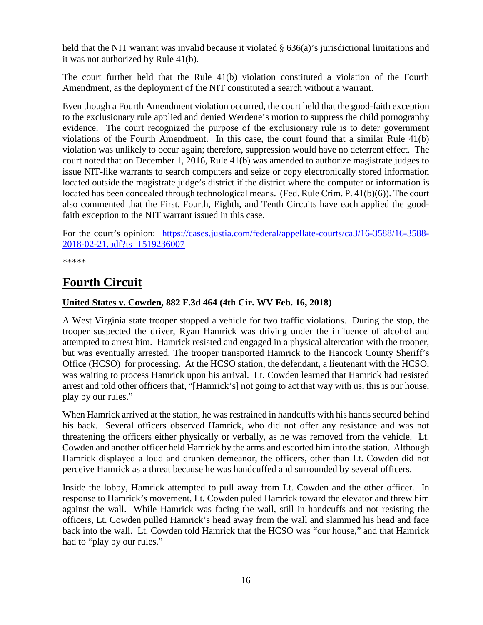held that the NIT warrant was invalid because it violated  $\S$  636(a)'s jurisdictional limitations and it was not authorized by Rule 41(b).

The court further held that the Rule 41(b) violation constituted a violation of the Fourth Amendment, as the deployment of the NIT constituted a search without a warrant.

Even though a Fourth Amendment violation occurred, the court held that the good-faith exception to the exclusionary rule applied and denied Werdene's motion to suppress the child pornography evidence. The court recognized the purpose of the exclusionary rule is to deter government violations of the Fourth Amendment. In this case, the court found that a similar Rule 41(b) violation was unlikely to occur again; therefore, suppression would have no deterrent effect. The court noted that on December 1, 2016, Rule 41(b) was amended to authorize magistrate judges to issue NIT-like warrants to search computers and seize or copy electronically stored information located outside the magistrate judge's district if the district where the computer or information is located has been concealed through technological means. (Fed. Rule Crim. P. 41(b)(6)). The court also commented that the First, Fourth, Eighth, and Tenth Circuits have each applied the goodfaith exception to the NIT warrant issued in this case.

For the court's opinion: [https://cases.justia.com/federal/appellate-courts/ca3/16-3588/16-3588-](https://cases.justia.com/federal/appellate-courts/ca3/16-3588/16-3588-2018-02-21.pdf?ts=1519236007) [2018-02-21.pdf?ts=1519236007](https://cases.justia.com/federal/appellate-courts/ca3/16-3588/16-3588-2018-02-21.pdf?ts=1519236007)

\*\*\*\*\*

## <span id="page-15-0"></span>**Fourth Circuit**

### <span id="page-15-1"></span>**United States v. Cowden, 882 F.3d 464 (4th Cir. WV Feb. 16, 2018)**

A West Virginia state trooper stopped a vehicle for two traffic violations. During the stop, the trooper suspected the driver, Ryan Hamrick was driving under the influence of alcohol and attempted to arrest him. Hamrick resisted and engaged in a physical altercation with the trooper, but was eventually arrested. The trooper transported Hamrick to the Hancock County Sheriff's Office (HCSO) for processing. At the HCSO station, the defendant, a lieutenant with the HCSO, was waiting to process Hamrick upon his arrival. Lt. Cowden learned that Hamrick had resisted arrest and told other officers that, "[Hamrick's] not going to act that way with us, this is our house, play by our rules."

When Hamrick arrived at the station, he was restrained in handcuffs with his hands secured behind his back. Several officers observed Hamrick, who did not offer any resistance and was not threatening the officers either physically or verbally, as he was removed from the vehicle. Lt. Cowden and another officer held Hamrick by the arms and escorted him into the station. Although Hamrick displayed a loud and drunken demeanor, the officers, other than Lt. Cowden did not perceive Hamrick as a threat because he was handcuffed and surrounded by several officers.

Inside the lobby, Hamrick attempted to pull away from Lt. Cowden and the other officer. In response to Hamrick's movement, Lt. Cowden puled Hamrick toward the elevator and threw him against the wall. While Hamrick was facing the wall, still in handcuffs and not resisting the officers, Lt. Cowden pulled Hamrick's head away from the wall and slammed his head and face back into the wall. Lt. Cowden told Hamrick that the HCSO was "our house," and that Hamrick had to "play by our rules."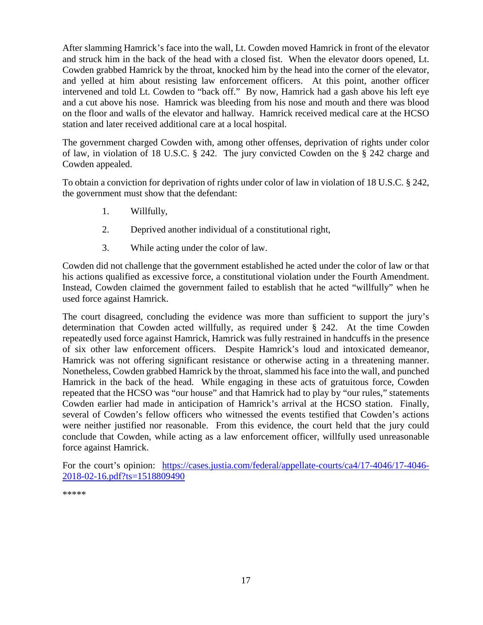After slamming Hamrick's face into the wall, Lt. Cowden moved Hamrick in front of the elevator and struck him in the back of the head with a closed fist. When the elevator doors opened, Lt. Cowden grabbed Hamrick by the throat, knocked him by the head into the corner of the elevator, and yelled at him about resisting law enforcement officers. At this point, another officer intervened and told Lt. Cowden to "back off." By now, Hamrick had a gash above his left eye and a cut above his nose. Hamrick was bleeding from his nose and mouth and there was blood on the floor and walls of the elevator and hallway. Hamrick received medical care at the HCSO station and later received additional care at a local hospital.

The government charged Cowden with, among other offenses, deprivation of rights under color of law, in violation of 18 U.S.C. § 242. The jury convicted Cowden on the § 242 charge and Cowden appealed.

To obtain a conviction for deprivation of rights under color of law in violation of 18 U.S.C. § 242, the government must show that the defendant:

- 1. Willfully,
- 2. Deprived another individual of a constitutional right,
- 3. While acting under the color of law.

Cowden did not challenge that the government established he acted under the color of law or that his actions qualified as excessive force, a constitutional violation under the Fourth Amendment. Instead, Cowden claimed the government failed to establish that he acted "willfully" when he used force against Hamrick.

The court disagreed, concluding the evidence was more than sufficient to support the jury's determination that Cowden acted willfully, as required under § 242. At the time Cowden repeatedly used force against Hamrick, Hamrick was fully restrained in handcuffs in the presence of six other law enforcement officers. Despite Hamrick's loud and intoxicated demeanor, Hamrick was not offering significant resistance or otherwise acting in a threatening manner. Nonetheless, Cowden grabbed Hamrick by the throat, slammed his face into the wall, and punched Hamrick in the back of the head. While engaging in these acts of gratuitous force, Cowden repeated that the HCSO was "our house" and that Hamrick had to play by "our rules," statements Cowden earlier had made in anticipation of Hamrick's arrival at the HCSO station. Finally, several of Cowden's fellow officers who witnessed the events testified that Cowden's actions were neither justified nor reasonable. From this evidence, the court held that the jury could conclude that Cowden, while acting as a law enforcement officer, willfully used unreasonable force against Hamrick.

For the court's opinion: [https://cases.justia.com/federal/appellate-courts/ca4/17-4046/17-4046-](https://cases.justia.com/federal/appellate-courts/ca4/17-4046/17-4046-2018-02-16.pdf?ts=1518809490) [2018-02-16.pdf?ts=1518809490](https://cases.justia.com/federal/appellate-courts/ca4/17-4046/17-4046-2018-02-16.pdf?ts=1518809490)

\*\*\*\*\*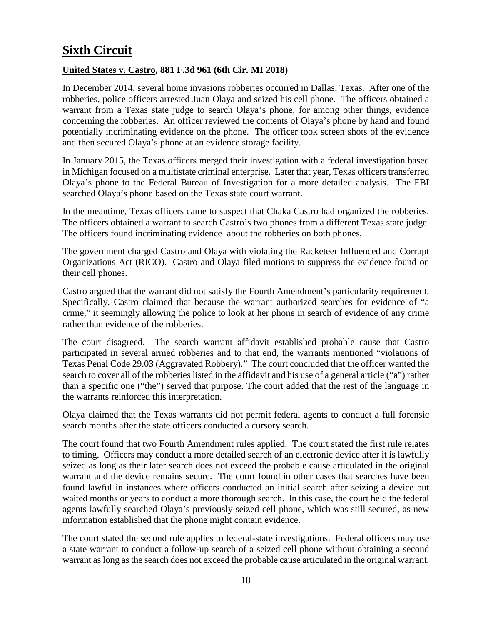# <span id="page-17-0"></span>**Sixth Circuit**

### <span id="page-17-1"></span>**United States v. Castro, 881 F.3d 961 (6th Cir. MI 2018)**

In December 2014, several home invasions robberies occurred in Dallas, Texas. After one of the robberies, police officers arrested Juan Olaya and seized his cell phone. The officers obtained a warrant from a Texas state judge to search Olaya's phone, for among other things, evidence concerning the robberies. An officer reviewed the contents of Olaya's phone by hand and found potentially incriminating evidence on the phone. The officer took screen shots of the evidence and then secured Olaya's phone at an evidence storage facility.

In January 2015, the Texas officers merged their investigation with a federal investigation based in Michigan focused on a multistate criminal enterprise. Later that year, Texas officers transferred Olaya's phone to the Federal Bureau of Investigation for a more detailed analysis. The FBI searched Olaya's phone based on the Texas state court warrant.

In the meantime, Texas officers came to suspect that Chaka Castro had organized the robberies. The officers obtained a warrant to search Castro's two phones from a different Texas state judge. The officers found incriminating evidence about the robberies on both phones.

The government charged Castro and Olaya with violating the Racketeer Influenced and Corrupt Organizations Act (RICO). Castro and Olaya filed motions to suppress the evidence found on their cell phones.

Castro argued that the warrant did not satisfy the Fourth Amendment's particularity requirement. Specifically, Castro claimed that because the warrant authorized searches for evidence of "a crime," it seemingly allowing the police to look at her phone in search of evidence of any crime rather than evidence of the robberies.

The court disagreed. The search warrant affidavit established probable cause that Castro participated in several armed robberies and to that end, the warrants mentioned "violations of Texas Penal Code 29.03 (Aggravated Robbery)." The court concluded that the officer wanted the search to cover all of the robberies listed in the affidavit and his use of a general article ("a") rather than a specific one ("the") served that purpose. The court added that the rest of the language in the warrants reinforced this interpretation.

Olaya claimed that the Texas warrants did not permit federal agents to conduct a full forensic search months after the state officers conducted a cursory search.

The court found that two Fourth Amendment rules applied. The court stated the first rule relates to timing. Officers may conduct a more detailed search of an electronic device after it is lawfully seized as long as their later search does not exceed the probable cause articulated in the original warrant and the device remains secure. The court found in other cases that searches have been found lawful in instances where officers conducted an initial search after seizing a device but waited months or years to conduct a more thorough search. In this case, the court held the federal agents lawfully searched Olaya's previously seized cell phone, which was still secured, as new information established that the phone might contain evidence.

The court stated the second rule applies to federal-state investigations. Federal officers may use a state warrant to conduct a follow-up search of a seized cell phone without obtaining a second warrant as long as the search does not exceed the probable cause articulated in the original warrant.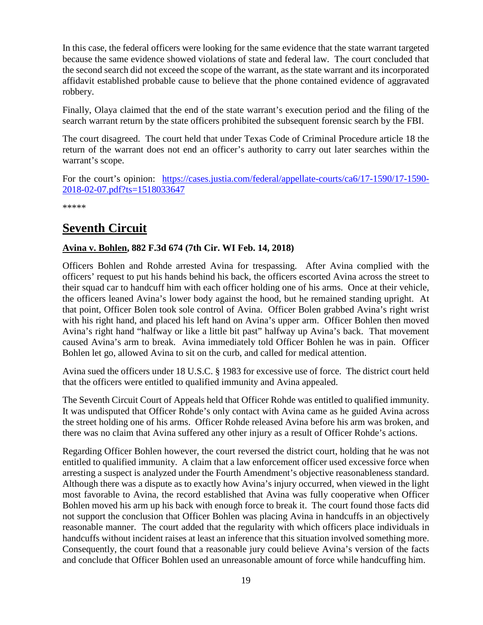In this case, the federal officers were looking for the same evidence that the state warrant targeted because the same evidence showed violations of state and federal law. The court concluded that the second search did not exceed the scope of the warrant, as the state warrant and its incorporated affidavit established probable cause to believe that the phone contained evidence of aggravated robbery.

Finally, Olaya claimed that the end of the state warrant's execution period and the filing of the search warrant return by the state officers prohibited the subsequent forensic search by the FBI.

The court disagreed. The court held that under Texas Code of Criminal Procedure article 18 the return of the warrant does not end an officer's authority to carry out later searches within the warrant's scope.

For the court's opinion: [https://cases.justia.com/federal/appellate-courts/ca6/17-1590/17-1590-](https://cases.justia.com/federal/appellate-courts/ca6/17-1590/17-1590-2018-02-07.pdf?ts=1518033647) [2018-02-07.pdf?ts=1518033647](https://cases.justia.com/federal/appellate-courts/ca6/17-1590/17-1590-2018-02-07.pdf?ts=1518033647)

\*\*\*\*\*

## <span id="page-18-0"></span>**Seventh Circuit**

### <span id="page-18-1"></span>**Avina v. Bohlen, 882 F.3d 674 (7th Cir. WI Feb. 14, 2018)**

Officers Bohlen and Rohde arrested Avina for trespassing. After Avina complied with the officers' request to put his hands behind his back, the officers escorted Avina across the street to their squad car to handcuff him with each officer holding one of his arms. Once at their vehicle, the officers leaned Avina's lower body against the hood, but he remained standing upright. At that point, Officer Bolen took sole control of Avina. Officer Bolen grabbed Avina's right wrist with his right hand, and placed his left hand on Avina's upper arm. Officer Bohlen then moved Avina's right hand "halfway or like a little bit past" halfway up Avina's back. That movement caused Avina's arm to break. Avina immediately told Officer Bohlen he was in pain. Officer Bohlen let go, allowed Avina to sit on the curb, and called for medical attention.

Avina sued the officers under 18 U.S.C. § 1983 for excessive use of force. The district court held that the officers were entitled to qualified immunity and Avina appealed.

The Seventh Circuit Court of Appeals held that Officer Rohde was entitled to qualified immunity. It was undisputed that Officer Rohde's only contact with Avina came as he guided Avina across the street holding one of his arms. Officer Rohde released Avina before his arm was broken, and there was no claim that Avina suffered any other injury as a result of Officer Rohde's actions.

Regarding Officer Bohlen however, the court reversed the district court, holding that he was not entitled to qualified immunity. A claim that a law enforcement officer used excessive force when arresting a suspect is analyzed under the Fourth Amendment's objective reasonableness standard. Although there was a dispute as to exactly how Avina's injury occurred, when viewed in the light most favorable to Avina, the record established that Avina was fully cooperative when Officer Bohlen moved his arm up his back with enough force to break it. The court found those facts did not support the conclusion that Officer Bohlen was placing Avina in handcuffs in an objectively reasonable manner. The court added that the regularity with which officers place individuals in handcuffs without incident raises at least an inference that this situation involved something more. Consequently, the court found that a reasonable jury could believe Avina's version of the facts and conclude that Officer Bohlen used an unreasonable amount of force while handcuffing him.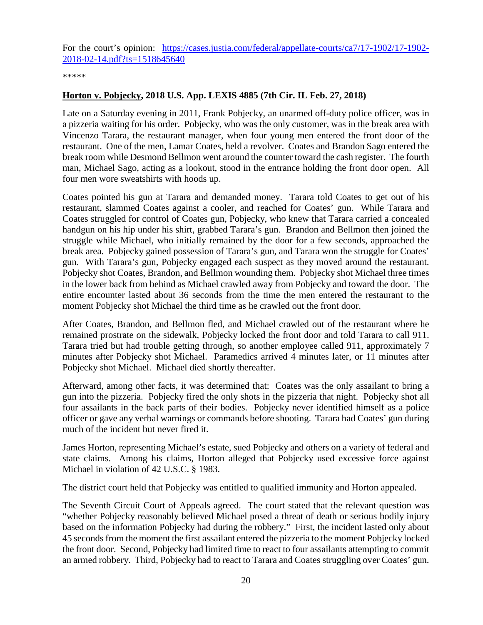For the court's opinion: [https://cases.justia.com/federal/appellate-courts/ca7/17-1902/17-1902-](https://cases.justia.com/federal/appellate-courts/ca7/17-1902/17-1902-2018-02-14.pdf?ts=1518645640) [2018-02-14.pdf?ts=1518645640](https://cases.justia.com/federal/appellate-courts/ca7/17-1902/17-1902-2018-02-14.pdf?ts=1518645640)

\*\*\*\*\*

### <span id="page-19-0"></span>**Horton v. Pobjecky, 2018 U.S. App. LEXIS 4885 (7th Cir. IL Feb. 27, 2018)**

Late on a Saturday evening in 2011, Frank Pobjecky, an unarmed off-duty police officer, was in a pizzeria waiting for his order. Pobjecky, who was the only customer, was in the break area with Vincenzo Tarara, the restaurant manager, when four young men entered the front door of the restaurant. One of the men, Lamar Coates, held a revolver. Coates and Brandon Sago entered the break room while Desmond Bellmon went around the counter toward the cash register. The fourth man, Michael Sago, acting as a lookout, stood in the entrance holding the front door open. All four men wore sweatshirts with hoods up.

Coates pointed his gun at Tarara and demanded money. Tarara told Coates to get out of his restaurant, slammed Coates against a cooler, and reached for Coates' gun. While Tarara and Coates struggled for control of Coates gun, Pobjecky, who knew that Tarara carried a concealed handgun on his hip under his shirt, grabbed Tarara's gun. Brandon and Bellmon then joined the struggle while Michael, who initially remained by the door for a few seconds, approached the break area. Pobjecky gained possession of Tarara's gun, and Tarara won the struggle for Coates' gun. With Tarara's gun, Pobjecky engaged each suspect as they moved around the restaurant. Pobjecky shot Coates, Brandon, and Bellmon wounding them. Pobjecky shot Michael three times in the lower back from behind as Michael crawled away from Pobjecky and toward the door. The entire encounter lasted about 36 seconds from the time the men entered the restaurant to the moment Pobjecky shot Michael the third time as he crawled out the front door.

After Coates, Brandon, and Bellmon fled, and Michael crawled out of the restaurant where he remained prostrate on the sidewalk, Pobjecky locked the front door and told Tarara to call 911. Tarara tried but had trouble getting through, so another employee called 911, approximately 7 minutes after Pobjecky shot Michael. Paramedics arrived 4 minutes later, or 11 minutes after Pobjecky shot Michael. Michael died shortly thereafter.

Afterward, among other facts, it was determined that: Coates was the only assailant to bring a gun into the pizzeria. Pobjecky fired the only shots in the pizzeria that night. Pobjecky shot all four assailants in the back parts of their bodies. Pobjecky never identified himself as a police officer or gave any verbal warnings or commands before shooting. Tarara had Coates' gun during much of the incident but never fired it.

James Horton, representing Michael's estate, sued Pobjecky and others on a variety of federal and state claims. Among his claims, Horton alleged that Pobjecky used excessive force against Michael in violation of 42 U.S.C. § 1983.

The district court held that Pobjecky was entitled to qualified immunity and Horton appealed.

The Seventh Circuit Court of Appeals agreed. The court stated that the relevant question was "whether Pobjecky reasonably believed Michael posed a threat of death or serious bodily injury based on the information Pobjecky had during the robbery." First, the incident lasted only about 45 seconds from the moment the first assailant entered the pizzeria to the moment Pobjecky locked the front door. Second, Pobjecky had limited time to react to four assailants attempting to commit an armed robbery. Third, Pobjecky had to react to Tarara and Coates struggling over Coates' gun.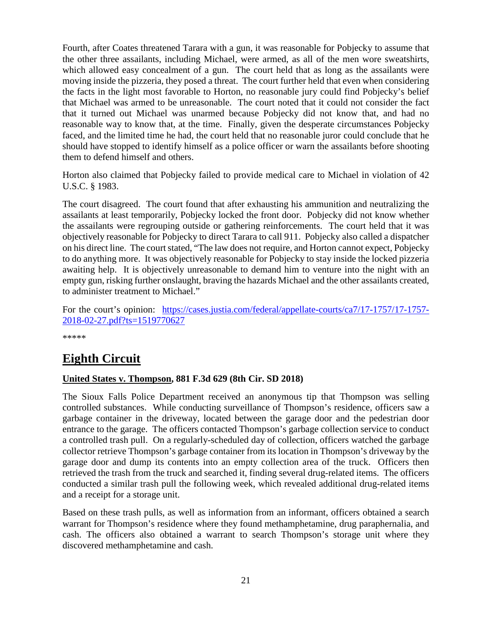Fourth, after Coates threatened Tarara with a gun, it was reasonable for Pobjecky to assume that the other three assailants, including Michael, were armed, as all of the men wore sweatshirts, which allowed easy concealment of a gun. The court held that as long as the assailants were moving inside the pizzeria, they posed a threat. The court further held that even when considering the facts in the light most favorable to Horton, no reasonable jury could find Pobjecky's belief that Michael was armed to be unreasonable. The court noted that it could not consider the fact that it turned out Michael was unarmed because Pobjecky did not know that, and had no reasonable way to know that, at the time. Finally, given the desperate circumstances Pobjecky faced, and the limited time he had, the court held that no reasonable juror could conclude that he should have stopped to identify himself as a police officer or warn the assailants before shooting them to defend himself and others.

Horton also claimed that Pobjecky failed to provide medical care to Michael in violation of 42 U.S.C. § 1983.

The court disagreed. The court found that after exhausting his ammunition and neutralizing the assailants at least temporarily, Pobjecky locked the front door. Pobjecky did not know whether the assailants were regrouping outside or gathering reinforcements. The court held that it was objectively reasonable for Pobjecky to direct Tarara to call 911. Pobjecky also called a dispatcher on his direct line. The court stated, "The law does not require, and Horton cannot expect, Pobjecky to do anything more. It was objectively reasonable for Pobjecky to stay inside the locked pizzeria awaiting help. It is objectively unreasonable to demand him to venture into the night with an empty gun, risking further onslaught, braving the hazards Michael and the other assailants created, to administer treatment to Michael."

For the court's opinion: [https://cases.justia.com/federal/appellate-courts/ca7/17-1757/17-1757-](https://cases.justia.com/federal/appellate-courts/ca7/17-1757/17-1757-2018-02-27.pdf?ts=1519770627) [2018-02-27.pdf?ts=1519770627](https://cases.justia.com/federal/appellate-courts/ca7/17-1757/17-1757-2018-02-27.pdf?ts=1519770627)

\*\*\*\*\*

# <span id="page-20-0"></span>**Eighth Circuit**

### <span id="page-20-1"></span>**United States v. Thompson, 881 F.3d 629 (8th Cir. SD 2018)**

The Sioux Falls Police Department received an anonymous tip that Thompson was selling controlled substances. While conducting surveillance of Thompson's residence, officers saw a garbage container in the driveway, located between the garage door and the pedestrian door entrance to the garage. The officers contacted Thompson's garbage collection service to conduct a controlled trash pull. On a regularly-scheduled day of collection, officers watched the garbage collector retrieve Thompson's garbage container from its location in Thompson's driveway by the garage door and dump its contents into an empty collection area of the truck. Officers then retrieved the trash from the truck and searched it, finding several drug-related items. The officers conducted a similar trash pull the following week, which revealed additional drug-related items and a receipt for a storage unit.

Based on these trash pulls, as well as information from an informant, officers obtained a search warrant for Thompson's residence where they found methamphetamine, drug paraphernalia, and cash. The officers also obtained a warrant to search Thompson's storage unit where they discovered methamphetamine and cash.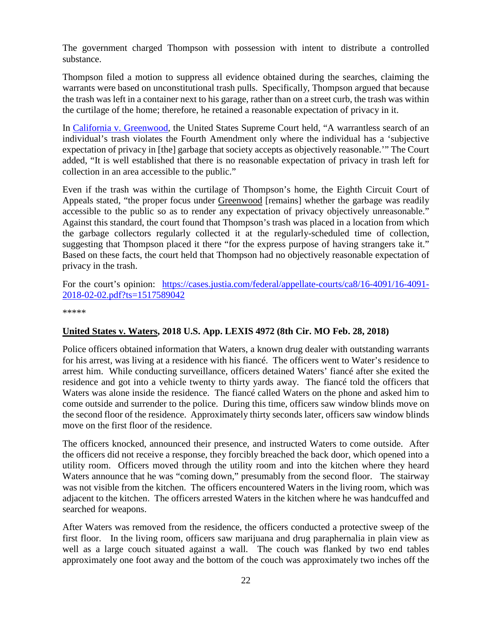The government charged Thompson with possession with intent to distribute a controlled substance.

Thompson filed a motion to suppress all evidence obtained during the searches, claiming the warrants were based on unconstitutional trash pulls. Specifically, Thompson argued that because the trash was left in a container next to his garage, rather than on a street curb, the trash was within the curtilage of the home; therefore, he retained a reasonable expectation of privacy in it.

In [California v. Greenwood,](https://supreme.justia.com/cases/federal/us/486/35/case.html) the United States Supreme Court held, "A warrantless search of an individual's trash violates the Fourth Amendment only where the individual has a 'subjective expectation of privacy in [the] garbage that society accepts as objectively reasonable.'" The Court added, "It is well established that there is no reasonable expectation of privacy in trash left for collection in an area accessible to the public."

Even if the trash was within the curtilage of Thompson's home, the Eighth Circuit Court of Appeals stated, "the proper focus under Greenwood [remains] whether the garbage was readily accessible to the public so as to render any expectation of privacy objectively unreasonable." Against this standard, the court found that Thompson's trash was placed in a location from which the garbage collectors regularly collected it at the regularly-scheduled time of collection, suggesting that Thompson placed it there "for the express purpose of having strangers take it." Based on these facts, the court held that Thompson had no objectively reasonable expectation of privacy in the trash.

For the court's opinion: [https://cases.justia.com/federal/appellate-courts/ca8/16-4091/16-4091-](https://cases.justia.com/federal/appellate-courts/ca8/16-4091/16-4091-2018-02-02.pdf?ts=1517589042) [2018-02-02.pdf?ts=1517589042](https://cases.justia.com/federal/appellate-courts/ca8/16-4091/16-4091-2018-02-02.pdf?ts=1517589042)

\*\*\*\*\*

### <span id="page-21-0"></span>**United States v. Waters, 2018 U.S. App. LEXIS 4972 (8th Cir. MO Feb. 28, 2018)**

Police officers obtained information that Waters, a known drug dealer with outstanding warrants for his arrest, was living at a residence with his fiancé. The officers went to Water's residence to arrest him. While conducting surveillance, officers detained Waters' fiancé after she exited the residence and got into a vehicle twenty to thirty yards away. The fiancé told the officers that Waters was alone inside the residence. The fiancé called Waters on the phone and asked him to come outside and surrender to the police. During this time, officers saw window blinds move on the second floor of the residence. Approximately thirty seconds later, officers saw window blinds move on the first floor of the residence.

The officers knocked, announced their presence, and instructed Waters to come outside. After the officers did not receive a response, they forcibly breached the back door, which opened into a utility room. Officers moved through the utility room and into the kitchen where they heard Waters announce that he was "coming down," presumably from the second floor. The stairway was not visible from the kitchen. The officers encountered Waters in the living room, which was adjacent to the kitchen. The officers arrested Waters in the kitchen where he was handcuffed and searched for weapons.

After Waters was removed from the residence, the officers conducted a protective sweep of the first floor. In the living room, officers saw marijuana and drug paraphernalia in plain view as well as a large couch situated against a wall. The couch was flanked by two end tables approximately one foot away and the bottom of the couch was approximately two inches off the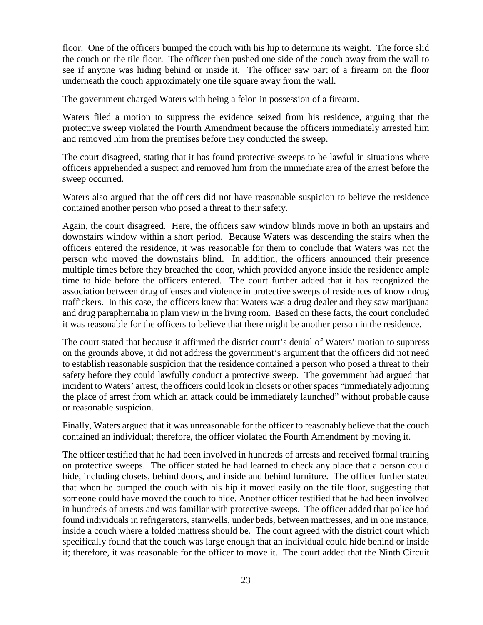floor. One of the officers bumped the couch with his hip to determine its weight. The force slid the couch on the tile floor. The officer then pushed one side of the couch away from the wall to see if anyone was hiding behind or inside it. The officer saw part of a firearm on the floor underneath the couch approximately one tile square away from the wall.

The government charged Waters with being a felon in possession of a firearm.

Waters filed a motion to suppress the evidence seized from his residence, arguing that the protective sweep violated the Fourth Amendment because the officers immediately arrested him and removed him from the premises before they conducted the sweep.

The court disagreed, stating that it has found protective sweeps to be lawful in situations where officers apprehended a suspect and removed him from the immediate area of the arrest before the sweep occurred.

Waters also argued that the officers did not have reasonable suspicion to believe the residence contained another person who posed a threat to their safety.

Again, the court disagreed. Here, the officers saw window blinds move in both an upstairs and downstairs window within a short period. Because Waters was descending the stairs when the officers entered the residence, it was reasonable for them to conclude that Waters was not the person who moved the downstairs blind. In addition, the officers announced their presence multiple times before they breached the door, which provided anyone inside the residence ample time to hide before the officers entered. The court further added that it has recognized the association between drug offenses and violence in protective sweeps of residences of known drug traffickers. In this case, the officers knew that Waters was a drug dealer and they saw marijuana and drug paraphernalia in plain view in the living room. Based on these facts, the court concluded it was reasonable for the officers to believe that there might be another person in the residence.

The court stated that because it affirmed the district court's denial of Waters' motion to suppress on the grounds above, it did not address the government's argument that the officers did not need to establish reasonable suspicion that the residence contained a person who posed a threat to their safety before they could lawfully conduct a protective sweep. The government had argued that incident to Waters' arrest, the officers could look in closets or other spaces "immediately adjoining the place of arrest from which an attack could be immediately launched" without probable cause or reasonable suspicion.

Finally, Waters argued that it was unreasonable for the officer to reasonably believe that the couch contained an individual; therefore, the officer violated the Fourth Amendment by moving it.

The officer testified that he had been involved in hundreds of arrests and received formal training on protective sweeps. The officer stated he had learned to check any place that a person could hide, including closets, behind doors, and inside and behind furniture. The officer further stated that when he bumped the couch with his hip it moved easily on the tile floor, suggesting that someone could have moved the couch to hide. Another officer testified that he had been involved in hundreds of arrests and was familiar with protective sweeps. The officer added that police had found individuals in refrigerators, stairwells, under beds, between mattresses, and in one instance, inside a couch where a folded mattress should be. The court agreed with the district court which specifically found that the couch was large enough that an individual could hide behind or inside it; therefore, it was reasonable for the officer to move it. The court added that the Ninth Circuit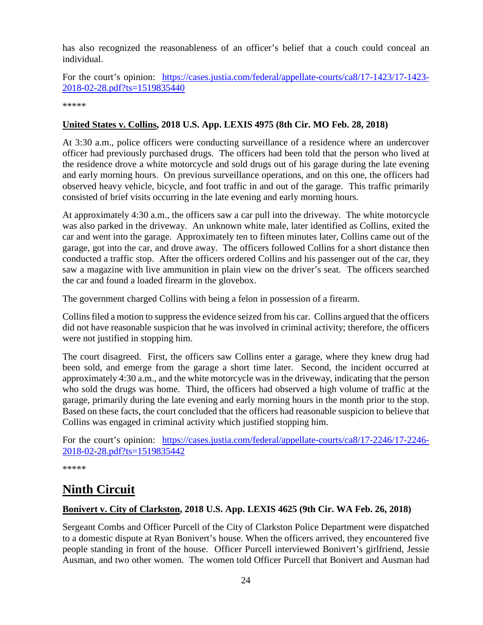has also recognized the reasonableness of an officer's belief that a couch could conceal an individual.

For the court's opinion: [https://cases.justia.com/federal/appellate-courts/ca8/17-1423/17-1423-](https://cases.justia.com/federal/appellate-courts/ca8/17-1423/17-1423-2018-02-28.pdf?ts=1519835440) [2018-02-28.pdf?ts=1519835440](https://cases.justia.com/federal/appellate-courts/ca8/17-1423/17-1423-2018-02-28.pdf?ts=1519835440)

\*\*\*\*\*

### <span id="page-23-0"></span>**United States v. Collins, 2018 U.S. App. LEXIS 4975 (8th Cir. MO Feb. 28, 2018)**

At 3:30 a.m., police officers were conducting surveillance of a residence where an undercover officer had previously purchased drugs. The officers had been told that the person who lived at the residence drove a white motorcycle and sold drugs out of his garage during the late evening and early morning hours. On previous surveillance operations, and on this one, the officers had observed heavy vehicle, bicycle, and foot traffic in and out of the garage. This traffic primarily consisted of brief visits occurring in the late evening and early morning hours.

At approximately 4:30 a.m., the officers saw a car pull into the driveway. The white motorcycle was also parked in the driveway. An unknown white male, later identified as Collins, exited the car and went into the garage. Approximately ten to fifteen minutes later, Collins came out of the garage, got into the car, and drove away. The officers followed Collins for a short distance then conducted a traffic stop. After the officers ordered Collins and his passenger out of the car, they saw a magazine with live ammunition in plain view on the driver's seat. The officers searched the car and found a loaded firearm in the glovebox.

The government charged Collins with being a felon in possession of a firearm.

Collins filed a motion to suppress the evidence seized from his car. Collins argued that the officers did not have reasonable suspicion that he was involved in criminal activity; therefore, the officers were not justified in stopping him.

The court disagreed. First, the officers saw Collins enter a garage, where they knew drug had been sold, and emerge from the garage a short time later. Second, the incident occurred at approximately 4:30 a.m., and the white motorcycle was in the driveway, indicating that the person who sold the drugs was home. Third, the officers had observed a high volume of traffic at the garage, primarily during the late evening and early morning hours in the month prior to the stop. Based on these facts, the court concluded that the officers had reasonable suspicion to believe that Collins was engaged in criminal activity which justified stopping him.

For the court's opinion: [https://cases.justia.com/federal/appellate-courts/ca8/17-2246/17-2246-](https://cases.justia.com/federal/appellate-courts/ca8/17-2246/17-2246-2018-02-28.pdf?ts=1519835442) [2018-02-28.pdf?ts=1519835442](https://cases.justia.com/federal/appellate-courts/ca8/17-2246/17-2246-2018-02-28.pdf?ts=1519835442)

\*\*\*\*\*

# <span id="page-23-1"></span>**Ninth Circuit**

### <span id="page-23-2"></span>**Bonivert v. City of Clarkston, 2018 U.S. App. LEXIS 4625 (9th Cir. WA Feb. 26, 2018)**

Sergeant Combs and Officer Purcell of the City of Clarkston Police Department were dispatched to a domestic dispute at Ryan Bonivert's house. When the officers arrived, they encountered five people standing in front of the house. Officer Purcell interviewed Bonivert's girlfriend, Jessie Ausman, and two other women. The women told Officer Purcell that Bonivert and Ausman had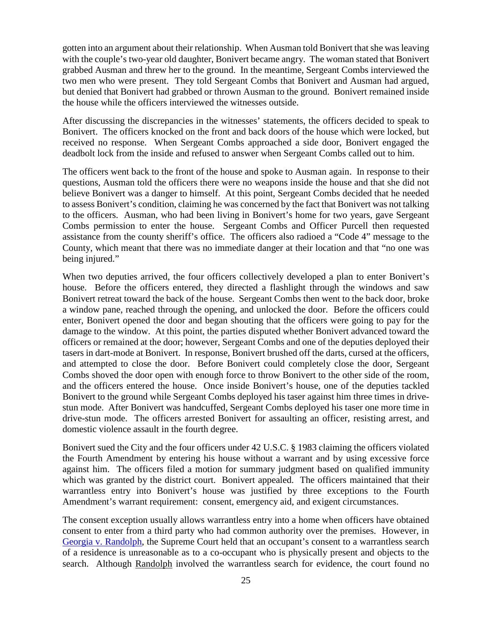gotten into an argument about their relationship. When Ausman told Bonivert that she was leaving with the couple's two-year old daughter, Bonivert became angry. The woman stated that Bonivert grabbed Ausman and threw her to the ground. In the meantime, Sergeant Combs interviewed the two men who were present. They told Sergeant Combs that Bonivert and Ausman had argued, but denied that Bonivert had grabbed or thrown Ausman to the ground. Bonivert remained inside the house while the officers interviewed the witnesses outside.

After discussing the discrepancies in the witnesses' statements, the officers decided to speak to Bonivert. The officers knocked on the front and back doors of the house which were locked, but received no response. When Sergeant Combs approached a side door, Bonivert engaged the deadbolt lock from the inside and refused to answer when Sergeant Combs called out to him.

The officers went back to the front of the house and spoke to Ausman again. In response to their questions, Ausman told the officers there were no weapons inside the house and that she did not believe Bonivert was a danger to himself. At this point, Sergeant Combs decided that he needed to assess Bonivert's condition, claiming he was concerned by the fact that Bonivert was not talking to the officers. Ausman, who had been living in Bonivert's home for two years, gave Sergeant Combs permission to enter the house. Sergeant Combs and Officer Purcell then requested assistance from the county sheriff's office. The officers also radioed a "Code 4" message to the County, which meant that there was no immediate danger at their location and that "no one was being injured."

When two deputies arrived, the four officers collectively developed a plan to enter Bonivert's house. Before the officers entered, they directed a flashlight through the windows and saw Bonivert retreat toward the back of the house. Sergeant Combs then went to the back door, broke a window pane, reached through the opening, and unlocked the door. Before the officers could enter, Bonivert opened the door and began shouting that the officers were going to pay for the damage to the window. At this point, the parties disputed whether Bonivert advanced toward the officers or remained at the door; however, Sergeant Combs and one of the deputies deployed their tasers in dart-mode at Bonivert. In response, Bonivert brushed off the darts, cursed at the officers, and attempted to close the door. Before Bonivert could completely close the door, Sergeant Combs shoved the door open with enough force to throw Bonivert to the other side of the room, and the officers entered the house. Once inside Bonivert's house, one of the deputies tackled Bonivert to the ground while Sergeant Combs deployed his taser against him three times in drivestun mode. After Bonivert was handcuffed, Sergeant Combs deployed his taser one more time in drive-stun mode. The officers arrested Bonivert for assaulting an officer, resisting arrest, and domestic violence assault in the fourth degree.

Bonivert sued the City and the four officers under 42 U.S.C. § 1983 claiming the officers violated the Fourth Amendment by entering his house without a warrant and by using excessive force against him. The officers filed a motion for summary judgment based on qualified immunity which was granted by the district court. Bonivert appealed. The officers maintained that their warrantless entry into Bonivert's house was justified by three exceptions to the Fourth Amendment's warrant requirement: consent, emergency aid, and exigent circumstances.

The consent exception usually allows warrantless entry into a home when officers have obtained consent to enter from a third party who had common authority over the premises. However, in [Georgia v. Randolph,](https://supreme.justia.com/cases/federal/us/547/04-1067/index.pdf) the Supreme Court held that an occupant's consent to a warrantless search of a residence is unreasonable as to a co-occupant who is physically present and objects to the search. Although Randolph involved the warrantless search for evidence, the court found no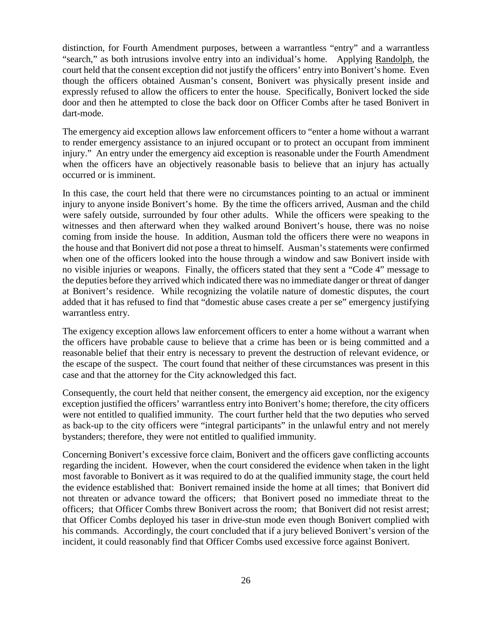distinction, for Fourth Amendment purposes, between a warrantless "entry" and a warrantless "search," as both intrusions involve entry into an individual's home. Applying Randolph, the court held that the consent exception did not justify the officers' entry into Bonivert's home. Even though the officers obtained Ausman's consent, Bonivert was physically present inside and expressly refused to allow the officers to enter the house. Specifically, Bonivert locked the side door and then he attempted to close the back door on Officer Combs after he tased Bonivert in dart-mode.

The emergency aid exception allows law enforcement officers to "enter a home without a warrant to render emergency assistance to an injured occupant or to protect an occupant from imminent injury." An entry under the emergency aid exception is reasonable under the Fourth Amendment when the officers have an objectively reasonable basis to believe that an injury has actually occurred or is imminent.

In this case, the court held that there were no circumstances pointing to an actual or imminent injury to anyone inside Bonivert's home. By the time the officers arrived, Ausman and the child were safely outside, surrounded by four other adults. While the officers were speaking to the witnesses and then afterward when they walked around Bonivert's house, there was no noise coming from inside the house. In addition, Ausman told the officers there were no weapons in the house and that Bonivert did not pose a threat to himself. Ausman's statements were confirmed when one of the officers looked into the house through a window and saw Bonivert inside with no visible injuries or weapons. Finally, the officers stated that they sent a "Code 4" message to the deputies before they arrived which indicated there was no immediate danger or threat of danger at Bonivert's residence. While recognizing the volatile nature of domestic disputes, the court added that it has refused to find that "domestic abuse cases create a per se" emergency justifying warrantless entry.

The exigency exception allows law enforcement officers to enter a home without a warrant when the officers have probable cause to believe that a crime has been or is being committed and a reasonable belief that their entry is necessary to prevent the destruction of relevant evidence, or the escape of the suspect. The court found that neither of these circumstances was present in this case and that the attorney for the City acknowledged this fact.

Consequently, the court held that neither consent, the emergency aid exception, nor the exigency exception justified the officers' warrantless entry into Bonivert's home; therefore, the city officers were not entitled to qualified immunity. The court further held that the two deputies who served as back-up to the city officers were "integral participants" in the unlawful entry and not merely bystanders; therefore, they were not entitled to qualified immunity.

Concerning Bonivert's excessive force claim, Bonivert and the officers gave conflicting accounts regarding the incident. However, when the court considered the evidence when taken in the light most favorable to Bonivert as it was required to do at the qualified immunity stage, the court held the evidence established that: Bonivert remained inside the home at all times; that Bonivert did not threaten or advance toward the officers; that Bonivert posed no immediate threat to the officers; that Officer Combs threw Bonivert across the room; that Bonivert did not resist arrest; that Officer Combs deployed his taser in drive-stun mode even though Bonivert complied with his commands. Accordingly, the court concluded that if a jury believed Bonivert's version of the incident, it could reasonably find that Officer Combs used excessive force against Bonivert.